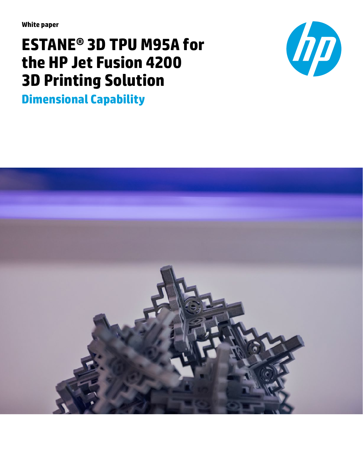**White paper**

# **ESTANE® 3D TPU M95A for the HP Jet Fusion 4200 3D Printing Solution**

**Dimensional Capability**



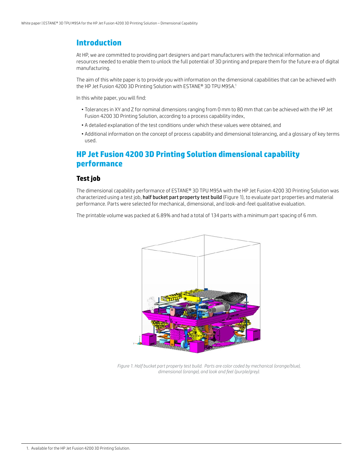## **Introduction**

At HP, we are committed to providing part designers and part manufacturers with the technical information and resources needed to enable them to unlock the full potential of 3D printing and prepare them for the future era of digital manufacturing.

The aim of this white paper is to provide you with information on the dimensional capabilities that can be achieved with the HP Jet Fusion 4200 3D Printing Solution with ESTANE® 3D TPU M95A.<sup>1</sup>

In this white paper, you will find:

- Tolerances in XY and Z for nominal dimensions ranging from 0 mm to 80 mm that can be achieved with the HP Jet Fusion 4200 3D Printing Solution, according to a process capability index,
- A detailed explanation of the test conditions under which these values were obtained, and
- Additional information on the concept of process capability and dimensional tolerancing, and a glossary of key terms used.

## **HP Jet Fusion 4200 3D Printing Solution dimensional capability performance**

#### **Test job**

The dimensional capability performance of ESTANE® 3D TPU M95A with the HP Jet Fusion 4200 3D Printing Solution was characterized using a test job, half bucket part property test build (Figure 1), to evaluate part properties and material performance. Parts were selected for mechanical, dimensional, and look-and-feel qualitative evaluation.

The printable volume was packed at 6.89% and had a total of 134 parts with a minimum part spacing of 6 mm.



*Figure 1. Half bucket part property test build. Parts are color coded by mechanical (orange/blue), dimensional (orange), and look and feel (purple/grey).*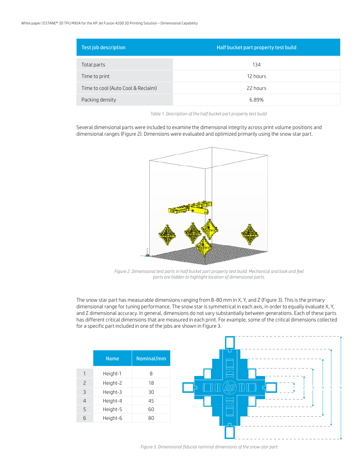| Test job description               | Half bucket part property test build |
|------------------------------------|--------------------------------------|
| Total parts                        | 134                                  |
| Time to print                      | 12 hours                             |
| Time to cool (Auto Cool & Reclaim) | 22 hours                             |
| Packing density                    | 6.89%                                |

*Table 1. Description of the half bucket part property test build*

Several dimensional parts were included to examine the dimensional integrity across print volume positions and dimensional ranges (Figure 2). Dimensions were evaluated and optimized primarily using the snow star part.



*Figure 2. Dimensional test parts in half bucket part property test build. Mechanical and look and feel parts are hidden to highlight location of dimensional parts.*

The snow star part has measurable dimensions ranging from 8-80 mm in X, Y, and Z (Figure 3). This is the primary dimensional range for tuning performance. The snow star is symmetrical in each axis, in order to equally evaluate X, Y, and Z dimensional accuracy. In general, dimensions do not vary substantially between generations. Each of these parts has different critical dimensions that are measured in each print. For example, some of the critical dimensions collected for a specific part included in one of the jobs are shown in Figure 3.

| Name     | Nominal/mm |
|----------|------------|
| Height-1 | 8          |
| Height-2 | 18         |
| Height-3 | 30         |
| Height-4 | 45         |
| Height-5 | 60         |
| Height-6 | 80         |
|          |            |



*Figure 3. Dimensional fiducial nominal dimensions of the snow star part*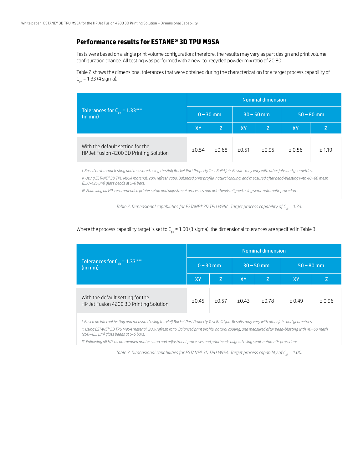### **Performance results for ESTANE® 3D TPU M95A**

Tests were based on a single print volume configuration; therefore, the results may vary as part design and print volume configuration change. All testing was performed with a new-to-recycled powder mix ratio of 20:80.

Table 2 shows the dimensional tolerances that were obtained during the characterization for a target process capability of  $C_{\text{obs}} = 1.33$  (4 sigma).

|                                                                             | <b>Nominal dimension</b> |       |       |              |              |        |  |  |  |  |
|-----------------------------------------------------------------------------|--------------------------|-------|-------|--------------|--------------|--------|--|--|--|--|
| Tolerances for $C_{pk} = 1.33^{\text{ii iii}}$<br>(in mm)                   | $0 - 30$ mm              |       |       | $30 - 50$ mm | $50 - 80$ mm |        |  |  |  |  |
|                                                                             | <b>XY</b>                | Z     | XY    | Z.           | <b>XY</b>    |        |  |  |  |  |
| With the default setting for the<br>HP Jet Fusion 4200 3D Printing Solution | ±0.54                    | ±0.68 | ±0.51 | ±0.95        | ± 0.56       | ± 1.19 |  |  |  |  |

*i. Based on internal testing and measured using the Half Bucket Part Property Test Build job. Results may vary with other jobs and geometries.*

*ii. Using ESTANE® 3D TPU M95A material, 20% refresh ratio, Balanced print profile, natural cooling, and measured after bead-blasting with 40–60 mesh (250-425 μm) glass beads at 5-6 bars.*

*iii. Following all HP-recommended printer setup and adjustment processes and printheads aligned using semi-automatic procedure.*

*Table 2. Dimensional capabilities for ESTANE® 3D TPU M95A. Target process capability of C<sub>nk</sub> = 1.33.* 

|                                                                             | <b>Nominal dimension</b> |             |       |              |              |        |  |  |  |  |
|-----------------------------------------------------------------------------|--------------------------|-------------|-------|--------------|--------------|--------|--|--|--|--|
| Tolerances for $C_{pk} = 1.33^{\text{ii iii}}$<br>(in mm)                   |                          | $0 - 30$ mm |       | $30 - 50$ mm | $50 - 80$ mm |        |  |  |  |  |
|                                                                             | 'XY                      | Z           | XY.   | Z.           | XY           | Z      |  |  |  |  |
| With the default setting for the<br>HP Jet Fusion 4200 3D Printing Solution | ±0.45                    | ±0.57       | ±0.43 | ±0.78        | ± 0.49       | ± 0.96 |  |  |  |  |

#### Where the process capability target is set to  $C_{nk}$  = 1.00 (3 sigma), the dimensional tolerances are specified in Table 3.

*i. Based on internal testing and measured using the Half Bucket Part Property Test Build job. Results may vary with other jobs and geometries.*

*ii. Using ESTANE® 3D TPU M95A material, 20% refresh ratio, Balanced print profile, natural cooling, and measured after bead-blasting with 40–60 mesh (250-425 μm) glass beads at 5-6 bars.* 

*iii. Following all HP-recommended printer setup and adjustment processes and printheads aligned using semi-automatic procedure.*

*Table 3. Dimensional capabilities for ESTANE® 3D TPU M95A. Target process capability of C<sub>pk</sub> = 1.00.*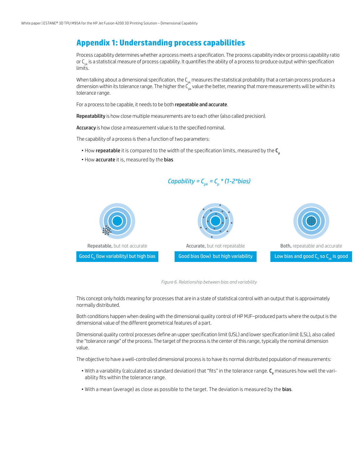# **Appendix 1: Understanding process capabilities**

Process capability determines whether a process meets a specification. The process capability index or process capability ratio or  $C_{nk}$  is a statistical measure of process capability. It quantifies the ability of a process to produce output within specification limits.

When talking about a dimensional specification, the  $C_{pk}$  measures the statistical probability that a certain process produces a dimension within its tolerance range. The higher the  $C_{nk}^{\prime}$  value the better, meaning that more measurements will be within its tolerance range.

For a process to be capable, it needs to be both repeatable and accurate.

Repeatability is how close multiple measurements are to each other (also called precision).

Accuracy is how close a measurement value is to the specified nominal.

The capability of a process is then a function of two parameters:

- How repeatable it is compared to the width of the specification limits, measured by the  $C_{p}$
- How accurate it is, measured by the bias



*Figure 6. Relationship between bias and variability*

This concept only holds meaning for processes that are in a state of statistical control with an output that is approximately normally distributed.

Both conditions happen when dealing with the dimensional quality control of HP MJF–produced parts where the output is the dimensional value of the different geometrical features of a part.

Dimensional quality control processes define an upper specification limit (USL) and lower specification limit (LSL), also called the "tolerance range" of the process. The target of the process is the center of this range, typically the nominal dimension value.

The objective to have a well-controlled dimensional process is to have its normal distributed population of measurements:

- $\bullet$  With a variability (calculated as standard deviation) that "fits" in the tolerance range.  ${\sf C_p}$  measures how well the variability fits within the tolerance range.
- With a mean (average) as close as possible to the target. The deviation is measured by the bias.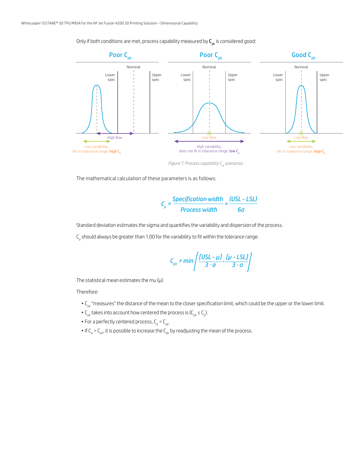Only if both conditions are met, process capability measured by  $C_{\text{pk}}$  is considered good:



*Figure 7. Process capability C<sub>pk</sub> scenarios* 

The mathematical calculation of these parameters is as follows:

$$
C_p = \frac{\text{Specification width}}{\text{Process width}} = \frac{\text{(USL - LSL)}}{6\sigma}
$$

Standard deviation estimates the sigma and quantifies the variability and dispersion of the process.

 $\mathsf{C}_\mathsf{p}$  should always be greater than 1.00 for the variability to fit within the tolerance range.

$$
C_{pk} = min \left\{ \frac{[USL - \mu J, [\mu - LSL]]}{3 \cdot \sigma}, \frac{[U - \mu LSL]}{3 \cdot \sigma} \right\}
$$

The statistical mean estimates the mu  $(\mu)$ .

Therefore:

- C<sub>pk</sub> "measures" the distance of the mean to the closer specification limit, which could be the upper or the lower limit.
- $C_{\rm pk}$  takes into account how centered the process is ( $C_{\rm pk} \le C_{\rm pb}$ ).
- For a perfectly centered process,  $C_p = C_{pk}$ .
- $\bullet$  If C<sub>p</sub> > C<sub>pk</sub>, it is possible to increase the C<sub>pk</sub> by readjusting the mean of the process.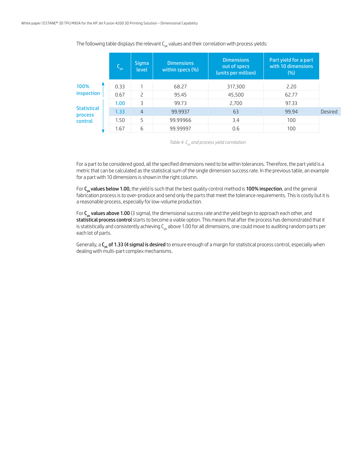|                                          | <b>Tpk</b> | <b>Sigma</b><br>level    | <b>Dimensions</b><br>within specs (%) | <b>Dimensions</b><br>out of specs<br>(units per million) | Part yield for a part<br>with 10 dimensions<br>$(\%)$ |         |
|------------------------------------------|------------|--------------------------|---------------------------------------|----------------------------------------------------------|-------------------------------------------------------|---------|
| 100%                                     | 0.33       |                          | 68.27                                 | 317,300                                                  | 2.20                                                  |         |
| inspection                               | 0.67       | $\overline{\phantom{0}}$ | 95.45                                 | 45,500                                                   | 62.77                                                 |         |
|                                          | 1.00       | 3                        | 99.73                                 | 2,700                                                    | 97.33                                                 |         |
| <b>Statistical</b><br>process<br>control | 1.33       | $\overline{4}$           | 99.9937                               | 63                                                       | 99.94                                                 | Desired |
|                                          | 1.50       | 5                        | 99.99966                              | 3.4                                                      | 100                                                   |         |
|                                          | 1.67       | 6                        | 99.99997                              | 0.6                                                      | 100                                                   |         |

The following table displays the relevant  $C_{nk}$  values and their correlation with process yields:

*Table 4. Cpk and process yield correlation*

For a part to be considered good, all the specified dimensions need to be within tolerances. Therefore, the part yield is a metric that can be calculated as the statistical sum of the single dimension success rate. In the previous table, an example for a part with 10 dimensions is shown in the right column.

For  $C_{nk}$  values below 1.00, the yield is such that the best quality control method is 100% inspection, and the general fabrication process is to over-produce and send only the parts that meet the tolerance requirements. This is costly but it is a reasonable process, especially for low-volume production.

For  $C_{\alpha k}$  values above 1.00 (3 sigma), the dimensional success rate and the yield begin to approach each other, and statistical process control starts to become a viable option. This means that after the process has demonstrated that it is statistically and consistently achieving  $C_{pk}$  above 1.00 for all dimensions, one could move to auditing random parts per each lot of parts.

Generally, a  $C_{nk}$  of 1.33 (4 sigma) is desired to ensure enough of a margin for statistical process control, especially when dealing with multi-part complex mechanisms.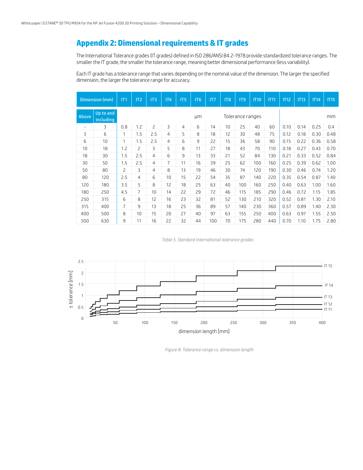# **Appendix 2: Dimensional requirements & IT grades**

The International Tolerance grades (IT grades) defined in ISO 286/ANSI B4.2-1978 provide standardized tolerance ranges. The smaller the IT grade, the smaller the tolerance range, meaning better dimensional performance (less variability).

Each IT grade has a tolerance range that varies depending on the nominal value of the dimension. The larger the specified dimension, the larger the tolerance range for accuracy.

|                          | Dimension (mm)         | IT1                      | IT <sub>2</sub> | IT <sub>3</sub> | IT4 | IT5 | IT <sub>6</sub> | IT7 | IT <sub>8</sub> | IT <sub>9</sub>  | <b>IT10</b> | IT11 | <b>IT12</b> | IT13 | <b>IT14</b> | <b>IT15</b> |
|--------------------------|------------------------|--------------------------|-----------------|-----------------|-----|-----|-----------------|-----|-----------------|------------------|-------------|------|-------------|------|-------------|-------------|
| Above                    | Up to and<br>including |                          |                 |                 |     |     | μm              |     |                 | Tolerance ranges |             |      |             |      |             | mm          |
| $\overline{\phantom{0}}$ | 3                      | 0.8                      | 1.2             | $\overline{c}$  | 3   | 4   | 6               | 14  | 10              | 25               | 40          | 60   | 0.10        | 0.14 | 0.25        | 0.4         |
| 3                        | 6                      | 1                        | 1.5             | 2.5             | 4   | 5   | 8               | 18  | 12              | 30               | 48          | 75   | 0.12        | 0.18 | 0.30        | 0.48        |
| 6                        | 10                     | 1                        | 1.5             | 2.5             | 4   | 6   | 9               | 22  | 15              | 36               | 58          | 90   | 0.15        | 0.22 | 0.36        | 0.58        |
| 10                       | 18                     | 1.2                      | 2               | 3               | 5   | 8   | 11              | 27  | 18              | 43               | 70          | 110  | 0.18        | 0.27 | 0.43        | 0.70        |
| 18                       | 30                     | 1.5                      | 2.5             | 4               | 6   | 9   | 13              | 33  | 21              | 52               | 84          | 130  | 0.21        | 0.33 | 0.52        | 0.84        |
| 30                       | 50                     | 1.5                      | 2.5             | 4               | 7   | 11  | 16              | 39  | 25              | 62               | 100         | 160  | 0.25        | 0.39 | 0.62        | 1.00        |
| 50                       | 80                     | $\overline{\phantom{0}}$ | 3               | 4               | 8   | 13  | 19              | 46  | 30              | 74               | 120         | 190  | 0.30        | 0.46 | 0.74        | 1.20        |
| 80                       | 120                    | 2.5                      | 4               | 6               | 10  | 15  | 22              | 54  | 35              | 87               | 140         | 220  | 0.35        | 0.54 | 0.87        | 1.40        |
| 120                      | 180                    | 3.5                      | 5               | 8               | 12  | 18  | 25              | 63  | 40              | 100              | 160         | 250  | 0.40        | 0.63 | 1.00        | 1.60        |
| 180                      | 250                    | 4.5                      | 7               | 10              | 14  | 22  | 29              | 72  | 46              | 115              | 185         | 290  | 0.46        | 0.72 | 1.15        | 1.85        |
| 250                      | 315                    | 6                        | 8               | 12              | 16  | 23  | 32              | 81  | 52              | 130              | 210         | 320  | 0.52        | 0.81 | 1.30        | 2.10        |
| 315                      | 400                    | $\overline{7}$           | 9               | 13              | 18  | 25  | 36              | 89  | 57              | 140              | 230         | 360  | 0.57        | 0.89 | 1.40        | 2.30        |
| 400                      | 500                    | 8                        | 10              | 15              | 20  | 27  | 40              | 97  | 63              | 155              | 250         | 400  | 0.63        | 0.97 | 1.55        | 2.50        |
| 500                      | 630                    | 9                        | 11              | 16              | 22  | 32  | 44              | 100 | 70              | 175              | 280         | 440  | 0.70        | 1.10 | 1.75        | 2.80        |

*Table 5. Standard international tolerance grades*



*Figure 8. Tolerance range vs. dimension length*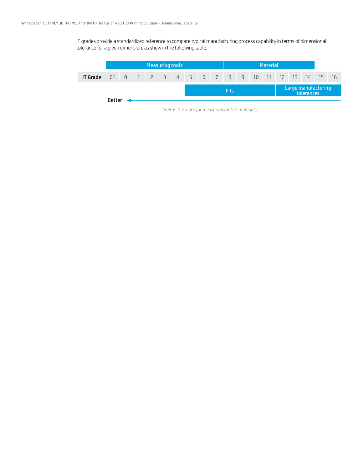IT grades provide a standardized reference to compare typical manufacturing process capability in terms of dimensional tolerance for a given dimension, as show in the following table:



*Table 6. IT Grades for measuring tools & materials*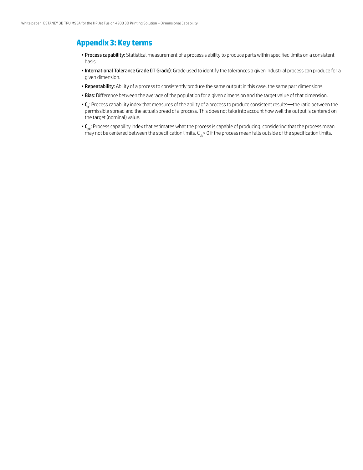## **Appendix 3: Key terms**

- Process capability: Statistical measurement of a process's ability to produce parts within specified limits on a consistent basis.
- International Tolerance Grade (IT Grade): Grade used to identify the tolerances a given industrial process can produce for a given dimension.
- Repeatability: Ability of a process to consistently produce the same output; in this case, the same part dimensions.
- Bias: Difference between the average of the population for a given dimension and the target value of that dimension.
- $\cdot$  C<sub>p</sub>: Process capability index that measures of the ability of a process to produce consistent results—the ratio between the permissible spread and the actual spread of a process. This does not take into account how well the output is centered on the target (nominal) value.
- C<sub>nk</sub>: Process capability index that estimates what the process is capable of producing, considering that the process mean may not be centered between the specification limits.  $C_{pk}$ < 0 if the process mean falls outside of the specification limits.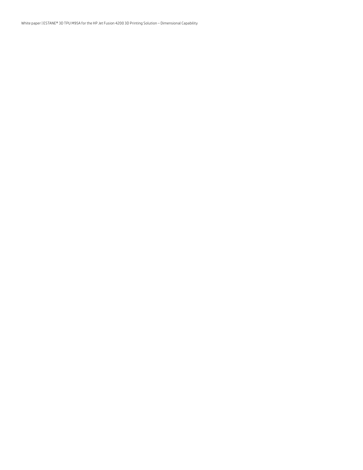White paper | ESTANE® 3D TPU M95A for the HP Jet Fusion 4200 3D Printing Solution – Dimensional Capability